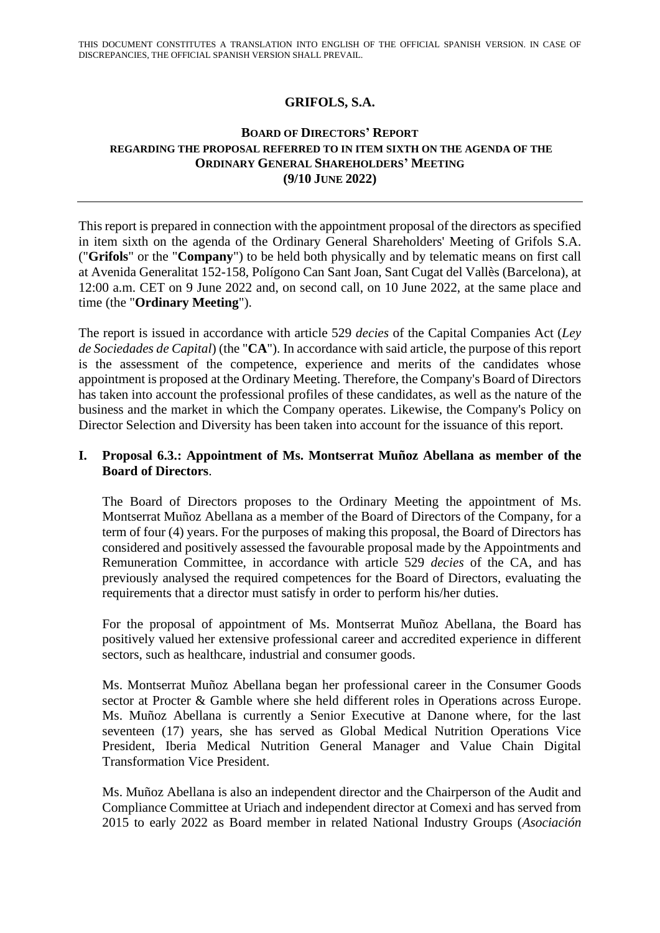## **GRIFOLS, S.A.**

## **BOARD OF DIRECTORS' REPORT REGARDING THE PROPOSAL REFERRED TO IN ITEM SIXTH ON THE AGENDA OF THE ORDINARY GENERAL SHAREHOLDERS' MEETING (9/10 JUNE 2022)**

This report is prepared in connection with the appointment proposal of the directors as specified in item sixth on the agenda of the Ordinary General Shareholders' Meeting of Grifols S.A. ("**Grifols**" or the "**Company**") to be held both physically and by telematic means on first call at Avenida Generalitat 152-158, Polígono Can Sant Joan, Sant Cugat del Vallès (Barcelona), at 12:00 a.m. CET on 9 June 2022 and, on second call, on 10 June 2022, at the same place and time (the "**Ordinary Meeting**").

The report is issued in accordance with article 529 *decies* of the Capital Companies Act (*Ley de Sociedades de Capital*) (the "**CA**"). In accordance with said article, the purpose of this report is the assessment of the competence, experience and merits of the candidates whose appointment is proposed at the Ordinary Meeting. Therefore, the Company's Board of Directors has taken into account the professional profiles of these candidates, as well as the nature of the business and the market in which the Company operates. Likewise, the Company's Policy on Director Selection and Diversity has been taken into account for the issuance of this report.

## **I. Proposal 6.3.: Appointment of Ms. Montserrat Muñoz Abellana as member of the Board of Directors**.

The Board of Directors proposes to the Ordinary Meeting the appointment of Ms. Montserrat Muñoz Abellana as a member of the Board of Directors of the Company, for a term of four (4) years. For the purposes of making this proposal, the Board of Directors has considered and positively assessed the favourable proposal made by the Appointments and Remuneration Committee, in accordance with article 529 *decies* of the CA, and has previously analysed the required competences for the Board of Directors, evaluating the requirements that a director must satisfy in order to perform his/her duties.

For the proposal of appointment of Ms. Montserrat Muñoz Abellana, the Board has positively valued her extensive professional career and accredited experience in different sectors, such as healthcare, industrial and consumer goods.

Ms. Montserrat Muñoz Abellana began her professional career in the Consumer Goods sector at Procter & Gamble where she held different roles in Operations across Europe. Ms. Muñoz Abellana is currently a Senior Executive at Danone where, for the last seventeen (17) years, she has served as Global Medical Nutrition Operations Vice President, Iberia Medical Nutrition General Manager and Value Chain Digital Transformation Vice President.

Ms. Muñoz Abellana is also an independent director and the Chairperson of the Audit and Compliance Committee at Uriach and independent director at Comexi and has served from 2015 to early 2022 as Board member in related National Industry Groups (*Asociación*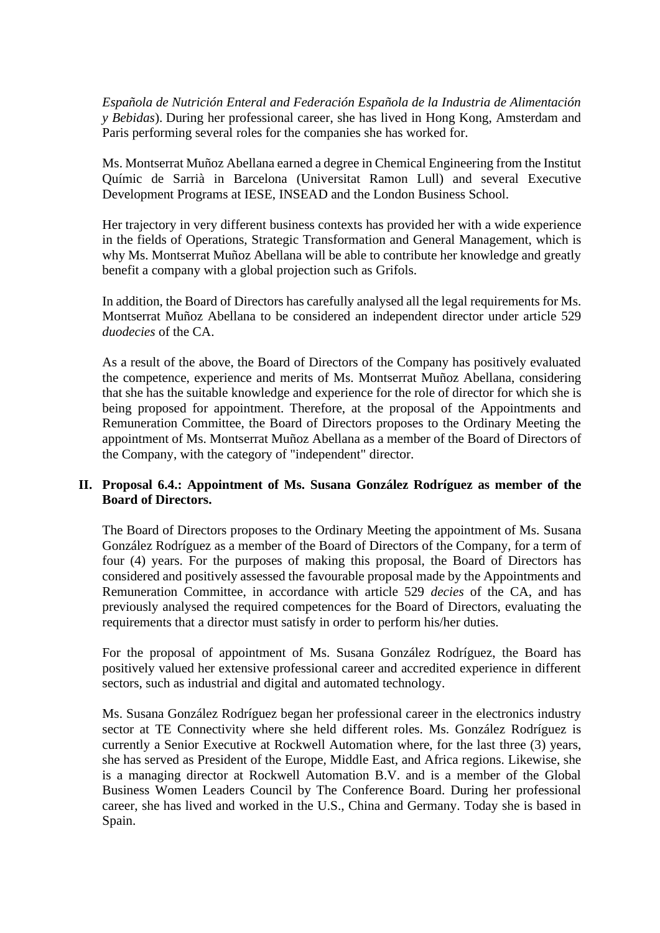*Española de Nutrición Enteral and Federación Española de la Industria de Alimentación y Bebidas*). During her professional career, she has lived in Hong Kong, Amsterdam and Paris performing several roles for the companies she has worked for.

Ms. Montserrat Muñoz Abellana earned a degree in Chemical Engineering from the Institut Químic de Sarrià in Barcelona (Universitat Ramon Lull) and several Executive Development Programs at IESE, INSEAD and the London Business School.

Her trajectory in very different business contexts has provided her with a wide experience in the fields of Operations, Strategic Transformation and General Management, which is why Ms. Montserrat Muñoz Abellana will be able to contribute her knowledge and greatly benefit a company with a global projection such as Grifols.

In addition, the Board of Directors has carefully analysed all the legal requirements for Ms. Montserrat Muñoz Abellana to be considered an independent director under article 529 *duodecies* of the CA.

As a result of the above, the Board of Directors of the Company has positively evaluated the competence, experience and merits of Ms. Montserrat Muñoz Abellana, considering that she has the suitable knowledge and experience for the role of director for which she is being proposed for appointment. Therefore, at the proposal of the Appointments and Remuneration Committee, the Board of Directors proposes to the Ordinary Meeting the appointment of Ms. Montserrat Muñoz Abellana as a member of the Board of Directors of the Company, with the category of "independent" director.

## **II. Proposal 6.4.: Appointment of Ms. Susana González Rodríguez as member of the Board of Directors.**

The Board of Directors proposes to the Ordinary Meeting the appointment of Ms. Susana González Rodríguez as a member of the Board of Directors of the Company, for a term of four (4) years. For the purposes of making this proposal, the Board of Directors has considered and positively assessed the favourable proposal made by the Appointments and Remuneration Committee, in accordance with article 529 *decies* of the CA, and has previously analysed the required competences for the Board of Directors, evaluating the requirements that a director must satisfy in order to perform his/her duties.

For the proposal of appointment of Ms. Susana González Rodríguez, the Board has positively valued her extensive professional career and accredited experience in different sectors, such as industrial and digital and automated technology.

Ms. Susana González Rodríguez began her professional career in the electronics industry sector at TE Connectivity where she held different roles. Ms. González Rodríguez is currently a Senior Executive at Rockwell Automation where, for the last three (3) years, she has served as President of the Europe, Middle East, and Africa regions. Likewise, she is a managing director at Rockwell Automation B.V. and is a member of the Global Business Women Leaders Council by The Conference Board. During her professional career, she has lived and worked in the U.S., China and Germany. Today she is based in Spain.